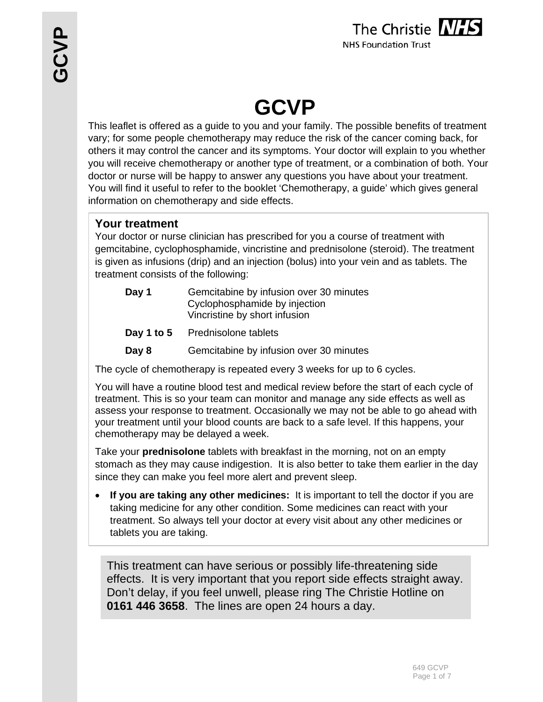

# **GCVP**

This leaflet is offered as a guide to you and your family. The possible benefits of treatment vary; for some people chemotherapy may reduce the risk of the cancer coming back, for others it may control the cancer and its symptoms. Your doctor will explain to you whether you will receive chemotherapy or another type of treatment, or a combination of both. Your doctor or nurse will be happy to answer any questions you have about your treatment. You will find it useful to refer to the booklet 'Chemotherapy, a guide' which gives general information on chemotherapy and side effects.

### **Your treatment**

Your doctor or nurse clinician has prescribed for you a course of treatment with gemcitabine, cyclophosphamide, vincristine and prednisolone (steroid). The treatment is given as infusions (drip) and an injection (bolus) into your vein and as tablets. The treatment consists of the following:

| Day 1 | Gemcitabine by infusion over 30 minutes<br>Cyclophosphamide by injection<br>Vincristine by short infusion |
|-------|-----------------------------------------------------------------------------------------------------------|
|       | <b>Day 1 to 5</b> Prednisolone tablets                                                                    |
| Day 8 | Gemcitabine by infusion over 30 minutes                                                                   |

The cycle of chemotherapy is repeated every 3 weeks for up to 6 cycles.

You will have a routine blood test and medical review before the start of each cycle of treatment. This is so your team can monitor and manage any side effects as well as assess your response to treatment. Occasionally we may not be able to go ahead with your treatment until your blood counts are back to a safe level. If this happens, your chemotherapy may be delayed a week.

Take your **prednisolone** tablets with breakfast in the morning, not on an empty stomach as they may cause indigestion. It is also better to take them earlier in the day since they can make you feel more alert and prevent sleep.

 **If you are taking any other medicines:** It is important to tell the doctor if you are taking medicine for any other condition. Some medicines can react with your treatment. So always tell your doctor at every visit about any other medicines or tablets you are taking.

This treatment can have serious or possibly life-threatening side effects. It is very important that you report side effects straight away. Don't delay, if you feel unwell, please ring The Christie Hotline on **0161 446 3658**. The lines are open 24 hours a day.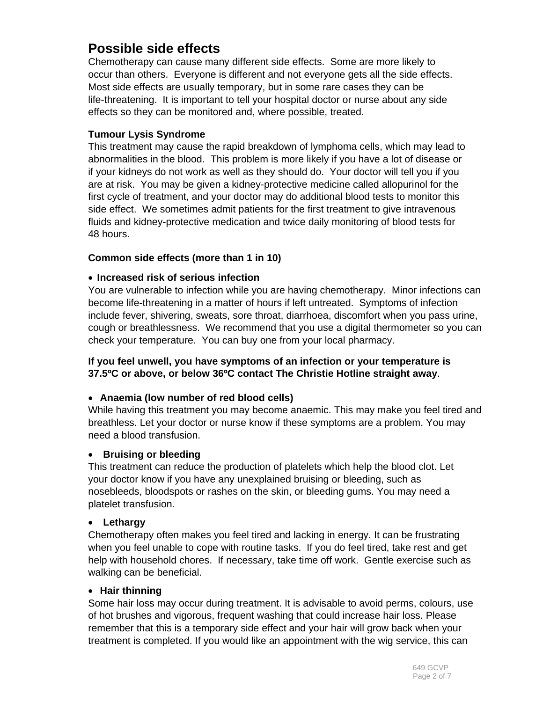## **Possible side effects**

Chemotherapy can cause many different side effects. Some are more likely to occur than others. Everyone is different and not everyone gets all the side effects. Most side effects are usually temporary, but in some rare cases they can be life-threatening. It is important to tell your hospital doctor or nurse about any side effects so they can be monitored and, where possible, treated.

#### **Tumour Lysis Syndrome**

This treatment may cause the rapid breakdown of lymphoma cells, which may lead to abnormalities in the blood. This problem is more likely if you have a lot of disease or if your kidneys do not work as well as they should do. Your doctor will tell you if you are at risk. You may be given a kidney-protective medicine called allopurinol for the first cycle of treatment, and your doctor may do additional blood tests to monitor this side effect. We sometimes admit patients for the first treatment to give intravenous fluids and kidney-protective medication and twice daily monitoring of blood tests for 48 hours.

#### **Common side effects (more than 1 in 10)**

#### **Increased risk of serious infection**

You are vulnerable to infection while you are having chemotherapy. Minor infections can become life-threatening in a matter of hours if left untreated. Symptoms of infection include fever, shivering, sweats, sore throat, diarrhoea, discomfort when you pass urine, cough or breathlessness. We recommend that you use a digital thermometer so you can check your temperature. You can buy one from your local pharmacy.

#### **If you feel unwell, you have symptoms of an infection or your temperature is 37.5ºC or above, or below 36ºC contact The Christie Hotline straight away**.

#### **Anaemia (low number of red blood cells)**

While having this treatment you may become anaemic. This may make you feel tired and breathless. Let your doctor or nurse know if these symptoms are a problem. You may need a blood transfusion.

#### **Bruising or bleeding**

This treatment can reduce the production of platelets which help the blood clot. Let your doctor know if you have any unexplained bruising or bleeding, such as nosebleeds, bloodspots or rashes on the skin, or bleeding gums. You may need a platelet transfusion.

#### **Lethargy**

Chemotherapy often makes you feel tired and lacking in energy. It can be frustrating when you feel unable to cope with routine tasks. If you do feel tired, take rest and get help with household chores. If necessary, take time off work. Gentle exercise such as walking can be beneficial.

#### **Hair thinning**

Some hair loss may occur during treatment. It is advisable to avoid perms, colours, use of hot brushes and vigorous, frequent washing that could increase hair loss. Please remember that this is a temporary side effect and your hair will grow back when your treatment is completed. If you would like an appointment with the wig service, this can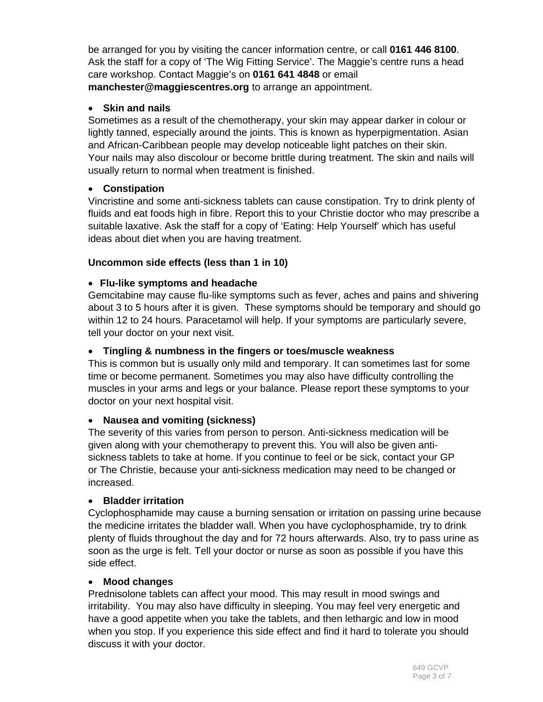be arranged for you by visiting the cancer information centre, or call **0161 446 8100**. Ask the staff for a copy of 'The Wig Fitting Service'. The Maggie's centre runs a head care workshop. Contact Maggie's on **0161 641 4848** or email **manchester@maggiescentres.org** to arrange an appointment.

#### **Skin and nails**

Sometimes as a result of the chemotherapy, your skin may appear darker in colour or lightly tanned, especially around the joints. This is known as hyperpigmentation. Asian and African-Caribbean people may develop noticeable light patches on their skin. Your nails may also discolour or become brittle during treatment. The skin and nails will usually return to normal when treatment is finished.

#### **Constipation**

Vincristine and some anti-sickness tablets can cause constipation. Try to drink plenty of fluids and eat foods high in fibre. Report this to your Christie doctor who may prescribe a suitable laxative. Ask the staff for a copy of 'Eating: Help Yourself' which has useful ideas about diet when you are having treatment.

#### **Uncommon side effects (less than 1 in 10)**

#### **Flu-like symptoms and headache**

Gemcitabine may cause flu-like symptoms such as fever, aches and pains and shivering about 3 to 5 hours after it is given. These symptoms should be temporary and should go within 12 to 24 hours. Paracetamol will help. If your symptoms are particularly severe, tell your doctor on your next visit.

#### **Tingling & numbness in the fingers or toes/muscle weakness**

This is common but is usually only mild and temporary. It can sometimes last for some time or become permanent. Sometimes you may also have difficulty controlling the muscles in your arms and legs or your balance. Please report these symptoms to your doctor on your next hospital visit.

#### **Nausea and vomiting (sickness)**

The severity of this varies from person to person. Anti-sickness medication will be given along with your chemotherapy to prevent this. You will also be given antisickness tablets to take at home. If you continue to feel or be sick, contact your GP or The Christie, because your anti-sickness medication may need to be changed or increased.

#### **Bladder irritation**

Cyclophosphamide may cause a burning sensation or irritation on passing urine because the medicine irritates the bladder wall. When you have cyclophosphamide, try to drink plenty of fluids throughout the day and for 72 hours afterwards. Also, try to pass urine as soon as the urge is felt. Tell your doctor or nurse as soon as possible if you have this side effect.

#### **Mood changes**

Prednisolone tablets can affect your mood. This may result in mood swings and irritability. You may also have difficulty in sleeping. You may feel very energetic and have a good appetite when you take the tablets, and then lethargic and low in mood when you stop. If you experience this side effect and find it hard to tolerate you should discuss it with your doctor.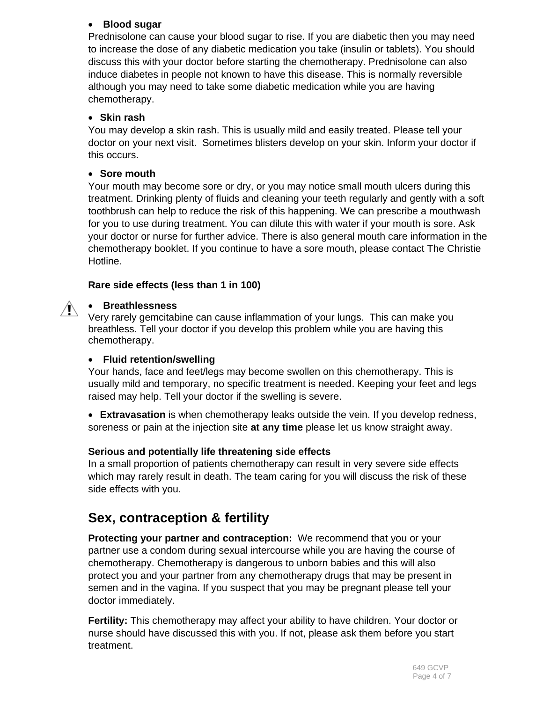#### **Blood sugar**

Prednisolone can cause your blood sugar to rise. If you are diabetic then you may need to increase the dose of any diabetic medication you take (insulin or tablets). You should discuss this with your doctor before starting the chemotherapy. Prednisolone can also induce diabetes in people not known to have this disease. This is normally reversible although you may need to take some diabetic medication while you are having chemotherapy.

#### **Skin rash**

You may develop a skin rash. This is usually mild and easily treated. Please tell your doctor on your next visit. Sometimes blisters develop on your skin. Inform your doctor if this occurs.

#### **Sore mouth**

Your mouth may become sore or dry, or you may notice small mouth ulcers during this treatment. Drinking plenty of fluids and cleaning your teeth regularly and gently with a soft toothbrush can help to reduce the risk of this happening. We can prescribe a mouthwash for you to use during treatment. You can dilute this with water if your mouth is sore. Ask your doctor or nurse for further advice. There is also general mouth care information in the chemotherapy booklet. If you continue to have a sore mouth, please contact The Christie Hotline.

#### **Rare side effects (less than 1 in 100)**

#### **Breathlessness**  $\mathbb{N}$

Very rarely gemcitabine can cause inflammation of your lungs. This can make you breathless. Tell your doctor if you develop this problem while you are having this chemotherapy.

#### **Fluid retention/swelling**

Your hands, face and feet/legs may become swollen on this chemotherapy. This is usually mild and temporary, no specific treatment is needed. Keeping your feet and legs raised may help. Tell your doctor if the swelling is severe.

 **Extravasation** is when chemotherapy leaks outside the vein. If you develop redness, soreness or pain at the injection site **at any time** please let us know straight away.

#### **Serious and potentially life threatening side effects**

In a small proportion of patients chemotherapy can result in very severe side effects which may rarely result in death. The team caring for you will discuss the risk of these side effects with you.

## **Sex, contraception & fertility**

**Protecting your partner and contraception:** We recommend that you or your partner use a condom during sexual intercourse while you are having the course of chemotherapy. Chemotherapy is dangerous to unborn babies and this will also protect you and your partner from any chemotherapy drugs that may be present in semen and in the vagina. If you suspect that you may be pregnant please tell your doctor immediately.

**Fertility:** This chemotherapy may affect your ability to have children. Your doctor or nurse should have discussed this with you. If not, please ask them before you start treatment.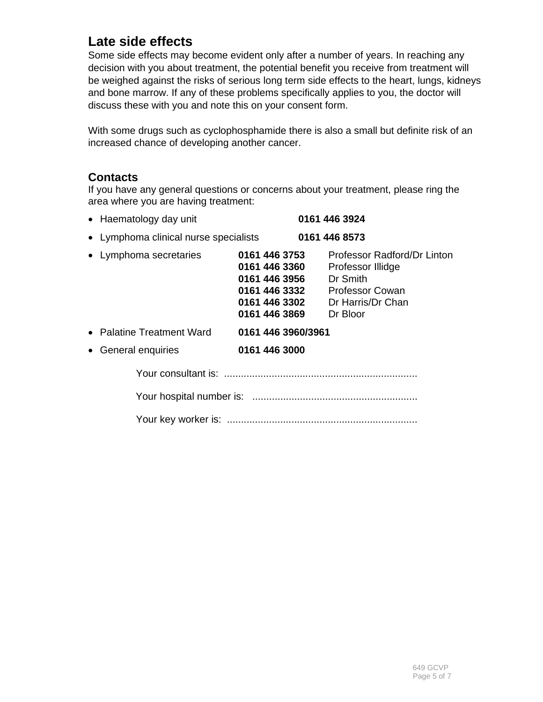## **Late side effects**

Some side effects may become evident only after a number of years. In reaching any decision with you about treatment, the potential benefit you receive from treatment will be weighed against the risks of serious long term side effects to the heart, lungs, kidneys and bone marrow. If any of these problems specifically applies to you, the doctor will discuss these with you and note this on your consent form.

With some drugs such as cyclophosphamide there is also a small but definite risk of an increased chance of developing another cancer.

#### **Contacts**

If you have any general questions or concerns about your treatment, please ring the area where you are having treatment:

| • Haematology day unit                |                                                                                                                                      | 0161 446 3924                                                            |  |
|---------------------------------------|--------------------------------------------------------------------------------------------------------------------------------------|--------------------------------------------------------------------------|--|
| • Lymphoma clinical nurse specialists |                                                                                                                                      | 0161 446 8573                                                            |  |
| • Lymphoma secretaries                | 0161 446 3753<br>0161 446 3360<br>0161 446 3956<br>0161 446 3332 Professor Cowan<br>0161 446 3302 Dr Harris/Dr Chan<br>0161 446 3869 | Professor Radford/Dr Linton<br>Professor Illidge<br>Dr Smith<br>Dr Bloor |  |
| • Palatine Treatment Ward             | 0161 446 3960/3961                                                                                                                   |                                                                          |  |
| General enquiries<br>$\bullet$        | 0161 446 3000                                                                                                                        |                                                                          |  |
|                                       |                                                                                                                                      |                                                                          |  |
|                                       |                                                                                                                                      |                                                                          |  |